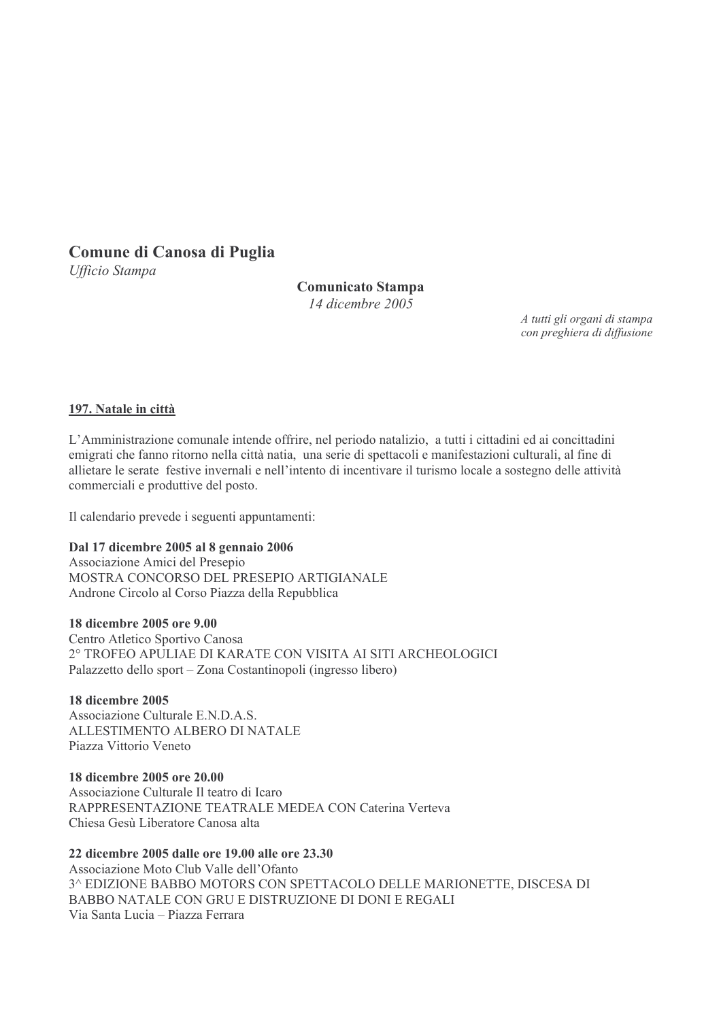# Comune di Canosa di Puglia

Ufficio Stampa

# **Comunicato Stampa**

 $14$  dicembre  $2005$ 

A tutti gli organi di stampa con preghiera di diffusione

### 197. Natale in città

L'Amministrazione comunale intende offrire, nel periodo natalizio, a tutti i cittadini ed ai concittadini emigrati che fanno ritorno nella città natia, una serie di spettacoli e manifestazioni culturali, al fine di allietare le serate festive invernali e nell'intento di incentivare il turismo locale a sostegno delle attività commerciali e produttive del posto.

Il calendario prevede i seguenti appuntamenti:

### Dal 17 dicembre 2005 al 8 gennaio 2006

Associazione Amici del Presepio MOSTRA CONCORSO DEL PRESEPIO ARTIGIANALE Androne Circolo al Corso Piazza della Repubblica

### 18 dicembre 2005 ore 9.00

Centro Atletico Sportivo Canosa 2° TROFEO APULIAE DI KARATE CON VISITA AI SITI ARCHEOLOGICI Palazzetto dello sport – Zona Costantinopoli (ingresso libero)

### 18 dicembre 2005

Associazione Culturale E.N.D.A.S. ALLESTIMENTO ALBERO DI NATALE Piazza Vittorio Veneto

### 18 dicembre 2005 ore 20.00

Associazione Culturale Il teatro di Icaro RAPPRESENTAZIONE TEATRALE MEDEA CON Caterina Verteva Chiesa Gesù Liberatore Canosa alta

### 22 dicembre 2005 dalle ore 19.00 alle ore 23.30

Associazione Moto Club Valle dell'Ofanto 3^ EDIZIONE BABBO MOTORS CON SPETTACOLO DELLE MARIONETTE, DISCESA DI BABBO NATALE CON GRU E DISTRUZIONE DI DONI E REGALI Via Santa Lucia - Piazza Ferrara